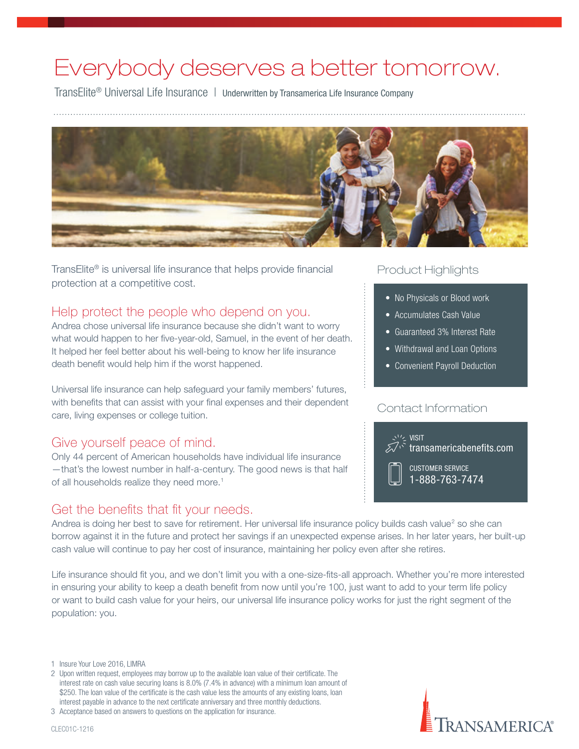# Everybody deserves a better tomorrow.

TransElite<sup>®</sup> Universal Life Insurance | Underwritten by Transamerica Life Insurance Company



TransElite<sup>®</sup> is universal life insurance that helps provide financial protection at a competitive cost.

# Help protect the people who depend on you.

Andrea chose universal life insurance because she didn't want to worry what would happen to her five-year-old, Samuel, in the event of her death. It helped her feel better about his well-being to know her life insurance death benefit would help him if the worst happened.

Universal life insurance can help safeguard your family members' futures, with benefits that can assist with your final expenses and their dependent care, living expenses or college tuition.

# Give yourself peace of mind.

Only 44 percent of American households have individual life insurance —that's the lowest number in half-a-century. The good news is that half of all households realize they need more.<sup>1</sup>

# Get the benefits that fit your needs.

## Product Highlights

- No Physicals or Blood work
- Accumulates Cash Value
- Guaranteed 3% Interest Rate
- Withdrawal and Loan Options
- Convenient Payroll Deduction

#### Contact Information



RANSAMERICA®

Andrea is doing her best to save for retirement. Her universal life insurance policy builds cash value<sup>2</sup> so she can borrow against it in the future and protect her savings if an unexpected expense arises. In her later years, her built-up cash value will continue to pay her cost of insurance, maintaining her policy even after she retires.

Life insurance should fit you, and we don't limit you with a one-size-fits-all approach. Whether you're more interested in ensuring your ability to keep a death benefit from now until you're 100, just want to add to your term life policy or want to build cash value for your heirs, our universal life insurance policy works for just the right segment of the population: you.

1 Insure Your Love 2016, LIMRA

- 2 Upon written request, employees may borrow up to the available loan value of their certificate. The interest rate on cash value securing loans is 8.0% (7.4% in advance) with a minimum loan amount of \$250. The loan value of the certificate is the cash value less the amounts of any existing loans, loan interest payable in advance to the next certificate anniversary and three monthly deductions.
- 3 Acceptance based on answers to questions on the application for insurance.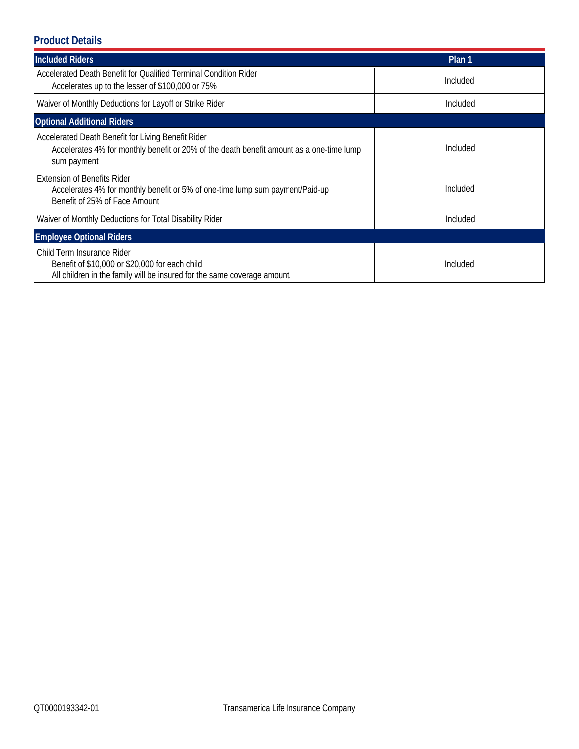# **Product Details**

| <b>Included Riders</b>                                                                                                                                        | Plan 1   |  |  |  |
|---------------------------------------------------------------------------------------------------------------------------------------------------------------|----------|--|--|--|
| Accelerated Death Benefit for Qualified Terminal Condition Rider<br>Accelerates up to the lesser of \$100,000 or 75%                                          | Included |  |  |  |
| Waiver of Monthly Deductions for Layoff or Strike Rider                                                                                                       | Included |  |  |  |
| <b>Optional Additional Riders</b>                                                                                                                             |          |  |  |  |
| Accelerated Death Benefit for Living Benefit Rider<br>Accelerates 4% for monthly benefit or 20% of the death benefit amount as a one-time lump<br>sum payment | Included |  |  |  |
| <b>Extension of Benefits Rider</b><br>Accelerates 4% for monthly benefit or 5% of one-time lump sum payment/Paid-up<br>Benefit of 25% of Face Amount          | Included |  |  |  |
| Waiver of Monthly Deductions for Total Disability Rider                                                                                                       | Included |  |  |  |
| <b>Employee Optional Riders</b>                                                                                                                               |          |  |  |  |
| Child Term Insurance Rider<br>Benefit of \$10,000 or \$20,000 for each child<br>All children in the family will be insured for the same coverage amount.      | Included |  |  |  |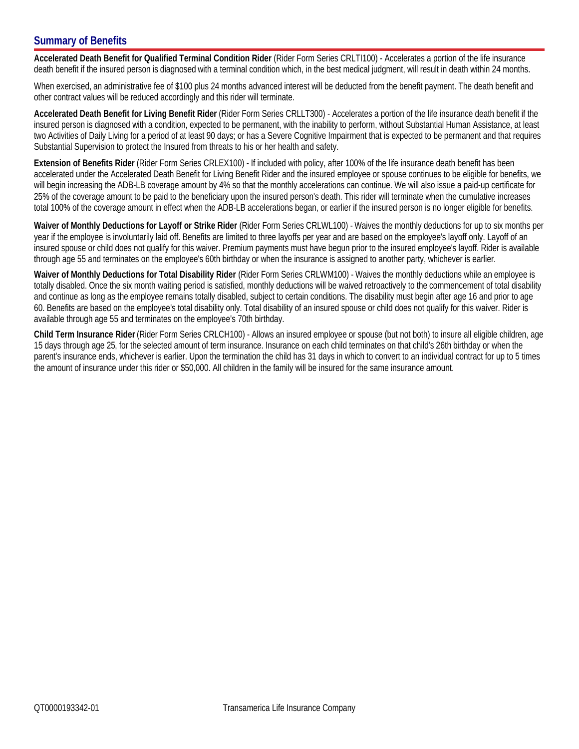### **Summary of Benefits**

**Accelerated Death Benefit for Qualified Terminal Condition Rider** (Rider Form Series CRLTI100) - Accelerates a portion of the life insurance death benefit if the insured person is diagnosed with a terminal condition which, in the best medical judgment, will result in death within 24 months.

When exercised, an administrative fee of \$100 plus 24 months advanced interest will be deducted from the benefit payment. The death benefit and other contract values will be reduced accordingly and this rider will terminate.

**Accelerated Death Benefit for Living Benefit Rider** (Rider Form Series CRLLT300) - Accelerates a portion of the life insurance death benefit if the insured person is diagnosed with a condition, expected to be permanent, with the inability to perform, without Substantial Human Assistance, at least two Activities of Daily Living for a period of at least 90 days; or has a Severe Cognitive Impairment that is expected to be permanent and that requires Substantial Supervision to protect the Insured from threats to his or her health and safety.

**Extension of Benefits Rider** (Rider Form Series CRLEX100) - If included with policy, after 100% of the life insurance death benefit has been accelerated under the Accelerated Death Benefit for Living Benefit Rider and the insured employee or spouse continues to be eligible for benefits, we will begin increasing the ADB-LB coverage amount by 4% so that the monthly accelerations can continue. We will also issue a paid-up certificate for 25% of the coverage amount to be paid to the beneficiary upon the insured person's death. This rider will terminate when the cumulative increases total 100% of the coverage amount in effect when the ADB-LB accelerations began, or earlier if the insured person is no longer eligible for benefits.

**Waiver of Monthly Deductions for Layoff or Strike Rider** (Rider Form Series CRLWL100) - Waives the monthly deductions for up to six months per year if the employee is involuntarily laid off. Benefits are limited to three layoffs per year and are based on the employee's layoff only. Layoff of an insured spouse or child does not qualify for this waiver. Premium payments must have begun prior to the insured employee's layoff. Rider is available through age 55 and terminates on the employee's 60th birthday or when the insurance is assigned to another party, whichever is earlier.

**Waiver of Monthly Deductions for Total Disability Rider** (Rider Form Series CRLWM100) - Waives the monthly deductions while an employee is totally disabled. Once the six month waiting period is satisfied, monthly deductions will be waived retroactively to the commencement of total disability and continue as long as the employee remains totally disabled, subject to certain conditions. The disability must begin after age 16 and prior to age Waiver of Monthly Deductions for Total Disability Rider (Rider Form Series CRLWM100) - Waives the monthly deductions while an employee is<br>totally disabled. Once the six month waiting period is satisfied, monthly deductions available through age 55 and terminates on the employee's 70th birthday.

**Child Term Insurance Rider** (Rider Form Series CRLCH100) - Allows an insured employee or spouse (but not both) to insure all eligible children, age 15 days through age 25, for the selected amount of term insurance. Insurance on each child terminates on that child's 26th birthday or when the parent's insurance ends, whichever is earlier. Upon the termination the child has 31 days in which to convert to an individual contract for up to 5 times the amount of insurance under this rider or \$50,000. All children in the family will be insured for the same insurance amount.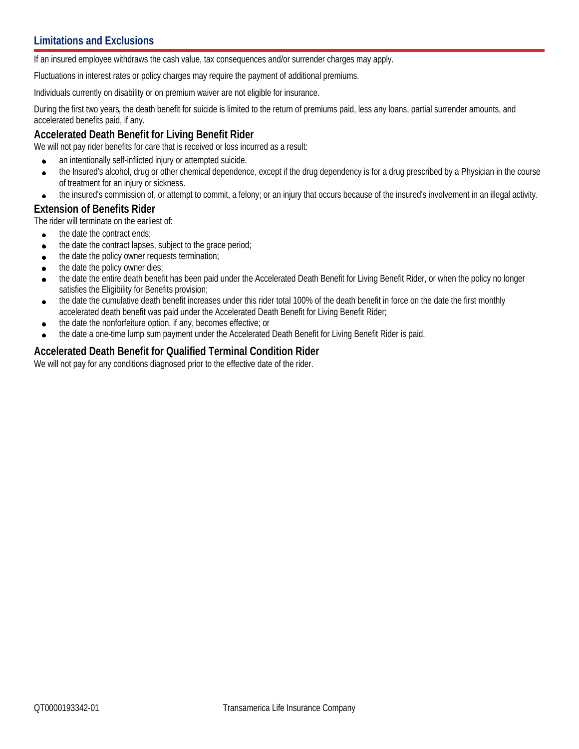If an insured employee withdraws the cash value, tax consequences and/or surrender charges may apply.

Fluctuations in interest rates or policy charges may require the payment of additional premiums.

Individuals currently on disability or on premium waiver are not eligible for insurance.

During the first two years, the death benefit for suicide is limited to the return of premiums paid, less any loans, partial surrender amounts, and accelerated benefits paid, if any.

#### **Accelerated Death Benefit for Living Benefit Rider**

We will not pay rider benefits for care that is received or loss incurred as a result:

- an intentionally self-inflicted injury or attempted suicide.  $\bullet$
- the Insured's alcohol, drug or other chemical dependence, except if the drug dependency is for a drug prescribed by a Physician in the course  $\bullet$ of treatment for an injury or sickness.
- the insured's commission of, or attempt to commit, a felony; or an injury that occurs because of the insured's involvement in an illegal activity.  $\bullet$

#### **Extension of Benefits Rider**

The rider will terminate on the earliest of:

- the date the contract ends;  $\bullet$
- the date the contract lapses, subject to the grace period;  $\bullet$
- the date the policy owner requests termination;  $\bullet$
- the date the policy owner dies;  $\bullet$
- the date the entire death benefit has been paid under the Accelerated Death Benefit for Living Benefit Rider, or when the policy no longer  $\bullet$ satisfies the Eligibility for Benefits provision;
- the date the cumulative death benefit increases under this rider total 100% of the death benefit in force on the date the first monthly  $\bullet$ accelerated death benefit was paid under the Accelerated Death Benefit for Living Benefit Rider;
- the date the nonforfeiture option, if any, becomes effective; or  $\bullet$
- the date a one-time lump sum payment under the Accelerated Death Benefit for Living Benefit Rider is paid.  $\bullet$

## **Accelerated Death Benefit for Qualified Terminal Condition Rider**

We will not pay for any conditions diagnosed prior to the effective date of the rider.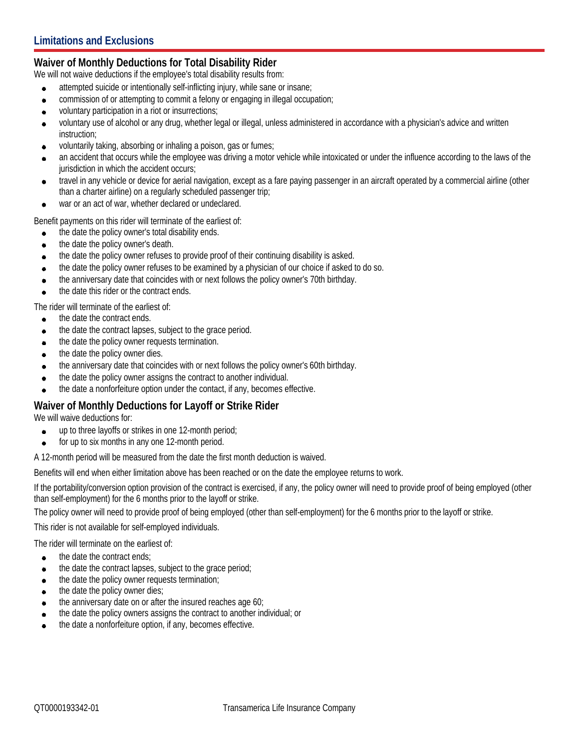## **Waiver of Monthly Deductions for Total Disability Rider**

We will not waive deductions if the employee's total disability results from:

- attempted suicide or intentionally self-inflicting injury, while sane or insane;  $\bullet$
- commission of or attempting to commit a felony or engaging in illegal occupation;  $\bullet$
- voluntary participation in a riot or insurrections;  $\bullet$
- voluntary use of alcohol or any drug, whether legal or illegal, unless administered in accordance with a physician's advice and written  $\bullet$ instruction;
- voluntarily taking, absorbing or inhaling a poison, gas or fumes;  $\bullet$
- an accident that occurs while the employee was driving a motor vehicle while intoxicated or under the influence according to the laws of the  $\bullet$ jurisdiction in which the accident occurs;
- travel in any vehicle or device for aerial navigation, except as a fare paying passenger in an aircraft operated by a commercial airline (other  $\blacksquare$ than a charter airline) on a regularly scheduled passenger trip;
- war or an act of war, whether declared or undeclared.  $\bullet$

Benefit payments on this rider will terminate of the earliest of:

- the date the policy owner's total disability ends.  $\bullet$
- the date the policy owner's death.  $\bullet$
- the date the policy owner refuses to provide proof of their continuing disability is asked.  $\bullet$
- the date the policy owner refuses to be examined by a physician of our choice if asked to do so.  $\bullet$
- the anniversary date that coincides with or next follows the policy owner's 70th birthday.  $\bullet$
- the date this rider or the contract ends.

The rider will terminate of the earliest of:

- the date the contract ends.  $\bullet$
- the date the contract lapses, subject to the grace period.  $\bullet$
- the date the policy owner requests termination.  $\bullet$
- the date the policy owner dies.  $\bullet$
- the anniversary date that coincides with or next follows the policy owner's 60th birthday.  $\bullet$
- the date the policy owner assigns the contract to another individual.  $\bullet$
- the date a nonforfeiture option under the contact, if any, becomes effective.

#### **Waiver of Monthly Deductions for Layoff or Strike Rider**

We will waive deductions for:

- up to three layoffs or strikes in one 12-month period;  $\bullet$
- $\bullet$ for up to six months in any one 12-month period.

A 12-month period will be measured from the date the first month deduction is waived.

Benefits will end when either limitation above has been reached or on the date the employee returns to work.

If the portability/conversion option provision of the contract is exercised, if any, the policy owner will need to provide proof of being employed (other than self-employment) for the 6 months prior to the layoff or strike.

The policy owner will need to provide proof of being employed (other than self-employment) for the 6 months prior to the layoff or strike.

This rider is not available for self-employed individuals.

The rider will terminate on the earliest of:

- the date the contract ends;  $\bullet$
- the date the contract lapses, subject to the grace period;  $\bullet$
- the date the policy owner requests termination;  $\bullet$
- the date the policy owner dies;  $\bullet$
- the anniversary date on or after the insured reaches age 60;  $\bullet$
- the date the policy owners assigns the contract to another individual; or  $\bullet$
- the date a nonforfeiture option, if any, becomes effective.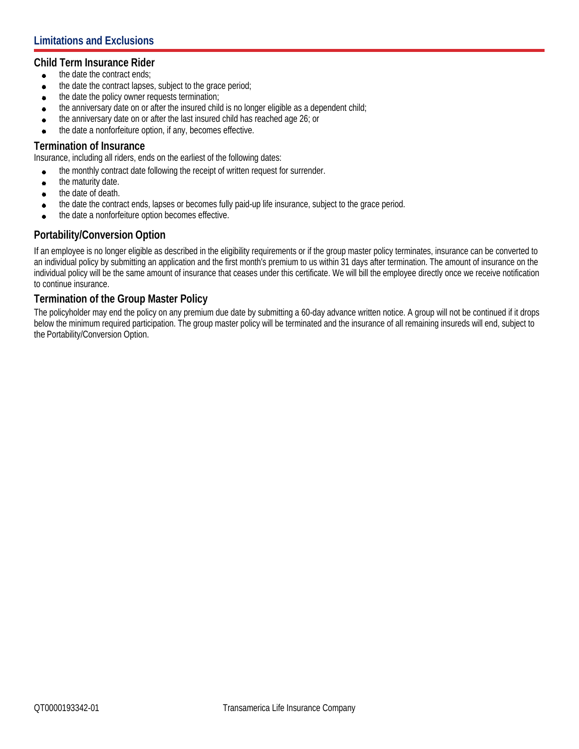#### **Child Term Insurance Rider**

- the date the contract ends;  $\bullet$
- the date the contract lapses, subject to the grace period;  $\bullet$
- the date the policy owner requests termination;  $\bullet$
- the anniversary date on or after the insured child is no longer eligible as a dependent child;  $\bullet$
- the anniversary date on or after the last insured child has reached age 26; or  $\bullet$
- the date a nonforfeiture option, if any, becomes effective.

#### **Termination of Insurance**

Insurance, including all riders, ends on the earliest of the following dates:

- the monthly contract date following the receipt of written request for surrender.  $\bullet$
- the maturity date.  $\bullet$
- the date of death.  $\bullet$
- the date the contract ends, lapses or becomes fully paid-up life insurance, subject to the grace period.  $\bullet$
- the date a nonforfeiture option becomes effective.  $\bullet$

#### **Portability/Conversion Option**

If an employee is no longer eligible as described in the eligibility requirements or if the group master policy terminates, insurance can be converted to an individual policy by submitting an application and the first month's premium to us within 31 days after termination. The amount of insurance on the individual policy will be the same amount of insurance that ceases under this certificate. We will bill the employee directly once we receive notification to continue insurance.

#### **Termination of the Group Master Policy**

The policyholder may end the policy on any premium due date by submitting a 60-day advance written notice. A group will not be continued if it drops below the minimum required participation. The group master policy will be terminated and the insurance of all remaining insureds will end, subject to the Portability/Conversion Option.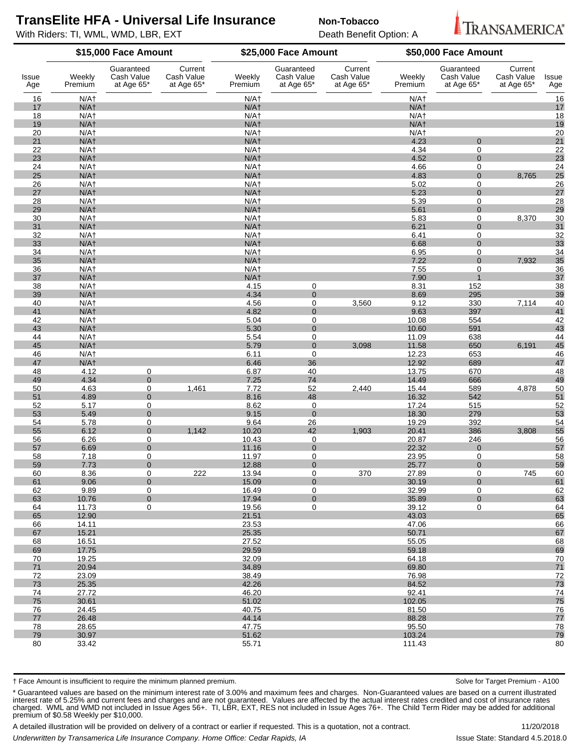# **TransElite HFA - Universal Life Insurance** Non-Tobacco

With Riders: TI, WML, WMD, LBR, EXT **Death Benefit Option: A** 



| Issue<br>Age | \$15,000 Face Amount                 |                                        |                                     |                            | \$25,000 Face Amount                   |                                     |                                      | \$50,000 Face Amount                   |                                     |              |
|--------------|--------------------------------------|----------------------------------------|-------------------------------------|----------------------------|----------------------------------------|-------------------------------------|--------------------------------------|----------------------------------------|-------------------------------------|--------------|
|              | Weekly<br>Premium                    | Guaranteed<br>Cash Value<br>at Age 65* | Current<br>Cash Value<br>at Age 65* | Weekly<br>Premium          | Guaranteed<br>Cash Value<br>at Age 65* | Current<br>Cash Value<br>at Age 65* | Weekly<br>Premium                    | Guaranteed<br>Cash Value<br>at Age 65* | Current<br>Cash Value<br>at Age 65* | Issue<br>Age |
| 16           | N/A <sub>1</sub>                     |                                        |                                     | $N/A+$                     |                                        |                                     | $N/A+$                               |                                        |                                     | 16           |
| 17           | N/A <sub>1</sub>                     |                                        |                                     | $N/A+$                     |                                        |                                     | N/A <sub>1</sub>                     |                                        |                                     | 17           |
| 18           | N/A <sub>1</sub>                     |                                        |                                     | N/A <sub>1</sub>           |                                        |                                     | N/A <sub>1</sub>                     |                                        |                                     | 18           |
| 19<br>20     | N/A <sub>1</sub><br>N/A <sub>1</sub> |                                        |                                     | $N/A+$<br>N/A <sub>1</sub> |                                        |                                     | N/A <sub>1</sub><br>N/A <sub>1</sub> |                                        |                                     | 19<br>20     |
| 21           | N/A <sub>1</sub>                     |                                        |                                     | $N/A+$                     |                                        |                                     | 4.23                                 | $\Omega$                               |                                     | 21           |
| 22           | N/A <sub>1</sub>                     |                                        |                                     | $N/A+$                     |                                        |                                     | 4.34                                 | $\overline{0}$                         |                                     | 22           |
| 23           | N/A <sub>1</sub>                     |                                        |                                     | $N/A+$                     |                                        |                                     | 4.52                                 | $\overline{0}$                         |                                     | 23           |
| 24           | N/A <sub>1</sub>                     |                                        |                                     | N/A <sub>1</sub>           |                                        |                                     | 4.66                                 | $\overline{0}$                         |                                     | 24           |
| 25           | N/A <sub>1</sub>                     |                                        |                                     | $N/A+$                     |                                        |                                     | 4.83                                 | $\mathbf 0$                            | 8,765                               | 25           |
| 26<br>27     | N/A <sub>1</sub><br>N/A <sub>1</sub> |                                        |                                     | N/A <sub>1</sub><br>$N/A+$ |                                        |                                     | 5.02<br>5.23                         | $\overline{0}$<br>$\overline{0}$       |                                     | 26<br>27     |
| 28           | N/A <sub>1</sub>                     |                                        |                                     | N/A <sub>1</sub>           |                                        |                                     | 5.39                                 | $\overline{0}$                         |                                     | 28           |
| 29           | N/A <sub>1</sub>                     |                                        |                                     | $N/A+$                     |                                        |                                     | 5.61                                 | $\overline{0}$                         |                                     | 29           |
| 30           | N/A <sub>1</sub>                     |                                        |                                     | $N/A+$                     |                                        |                                     | 5.83                                 | $\overline{0}$                         | 8,370                               | 30           |
| 31           | N/A <sub>1</sub>                     |                                        |                                     | $N/A+$                     |                                        |                                     | 6.21                                 | $\mathbf 0$                            |                                     | 31           |
| 32           | N/A <sub>1</sub>                     |                                        |                                     | N/A <sub>1</sub>           |                                        |                                     | 6.41                                 | $\overline{0}$                         |                                     | 32           |
| 33           | N/A <sub>1</sub>                     |                                        |                                     | $N/A+$                     |                                        |                                     | 6.68                                 | $\overline{0}$                         |                                     | 33           |
| 34<br>35     | N/A <sub>1</sub><br>N/A <sub>1</sub> |                                        |                                     | N/A <sub>1</sub><br>$N/A+$ |                                        |                                     | 6.95<br>7.22                         | 0<br>$\overline{0}$                    | 7,932                               | 34<br>35     |
| 36           | N/A <sub>1</sub>                     |                                        |                                     | N/A <sub>1</sub>           |                                        |                                     | 7.55                                 | $\overline{0}$                         |                                     | 36           |
| 37           | N/A <sub>1</sub>                     |                                        |                                     | $N/A+$                     |                                        |                                     | 7.90                                 |                                        |                                     | 37           |
| 38           | N/A <sub>1</sub>                     |                                        |                                     | 4.15                       | $\overline{0}$                         |                                     | 8.31                                 | 152                                    |                                     | 38           |
| 39           | N/A <sub>1</sub>                     |                                        |                                     | 4.34                       | $\overline{0}$                         |                                     | 8.69                                 | 295                                    |                                     | 39           |
| 40           | N/A <sub>1</sub>                     |                                        |                                     | 4.56                       | $\overline{0}$                         | 3,560                               | 9.12                                 | 330                                    | 7,114                               | 40           |
| 41<br>42     | N/A <sub>1</sub><br>N/A <sub>1</sub> |                                        |                                     | 4.82<br>5.04               | $\overline{0}$                         |                                     | 9.63<br>10.08                        | 397<br>554                             |                                     | 41<br>42     |
| 43           | N/A <sub>1</sub>                     |                                        |                                     | 5.30                       | $\overline{0}$<br>$\mathbf{0}$         |                                     | 10.60                                | 591                                    |                                     | 43           |
| 44           | N/A <sub>1</sub>                     |                                        |                                     | 5.54                       | $\overline{0}$                         |                                     | 11.09                                | 638                                    |                                     | 44           |
| 45           | N/A <sub>1</sub>                     |                                        |                                     | 5.79                       | $\overline{0}$                         | 3,098                               | 11.58                                | 650                                    | 6,191                               | 45           |
| 46           | N/A <sub>1</sub>                     |                                        |                                     | 6.11                       | $\mathbf 0$                            |                                     | 12.23                                | 653                                    |                                     | 46           |
| 47           | $N/A+$                               |                                        |                                     | 6.46                       | 36                                     |                                     | 12.92                                | 689                                    |                                     | 47           |
| 48           | 4.12<br>4.34                         | $\overline{0}$<br>$\mathbf 0$          |                                     | 6.87<br>7.25               | 40<br>74                               |                                     | 13.75<br>14.49                       | 670                                    |                                     | 48           |
| 49<br>50     | 4.63                                 | $\overline{0}$                         | 1,461                               | 7.72                       | 52                                     | 2,440                               | 15.44                                | 666<br>589                             | 4,878                               | 49<br>50     |
| 51           | 4.89                                 | $\mathbf 0$                            |                                     | 8.16                       | 48                                     |                                     | 16.32                                | 542                                    |                                     | 51           |
| 52           | 5.17                                 | $\overline{0}$                         |                                     | 8.62                       | $\overline{0}$                         |                                     | 17.24                                | 515                                    |                                     | 52           |
| 53           | 5.49                                 | $\mathbf 0$                            |                                     | 9.15                       | $\mathbf{0}$                           |                                     | 18.30                                | 279                                    |                                     | 53           |
| 54           | 5.78                                 | $\overline{0}$                         |                                     | 9.64                       | 26                                     |                                     | 19.29                                | 392                                    |                                     | 54           |
| 55           | 6.12                                 | $\mathbf 0$                            | 1,142                               | 10.20                      | 42                                     | 1,903                               | 20.41                                | 386                                    | 3,808                               | 55           |
| 56<br>57     | 6.26<br>6.69                         | $\overline{0}$<br>$\mathbf 0$          |                                     | 10.43<br>11.16             | $\overline{0}$<br>$\mathbf{0}$         |                                     | 20.87<br>22.32                       | 246<br>$\mathbf 0$                     |                                     | 56<br>57     |
| 58           | 7.18                                 | $\overline{0}$                         |                                     | 11.97                      | $\overline{0}$                         |                                     | 23.95                                | $\overline{0}$                         |                                     | 58           |
| 59           | 7.73                                 | $\overline{0}$                         |                                     | 12.88                      | $\overline{0}$                         |                                     | 25.77                                | $\overline{0}$                         |                                     | 59           |
| 60           | 8.36                                 | $\overline{0}$                         | 222                                 | 13.94                      | $\overline{0}$                         | 370                                 | 27.89                                | $\overline{0}$                         | 745                                 | 60           |
| 61           | 9.06                                 | $\mathbf{0}$                           |                                     | 15.09                      | $\mathbf{0}$                           |                                     | 30.19                                | $\overline{0}$                         |                                     | 61           |
| 62           | 9.89                                 | $\overline{0}$                         |                                     | 16.49                      | $\overline{0}$                         |                                     | 32.99                                | $\overline{0}$                         |                                     | 62           |
| 63<br>64     | 10.76<br>11.73                       | $\overline{0}$<br>$\overline{0}$       |                                     | 17.94<br>19.56             | $\Omega$<br>$\overline{0}$             |                                     | 35.89<br>39.12                       | $\overline{0}$<br>$\overline{0}$       |                                     | 63<br>64     |
| 65           | 12.90                                |                                        |                                     | 21.51                      |                                        |                                     | 43.03                                |                                        |                                     | 65           |
| 66           | 14.11                                |                                        |                                     | 23.53                      |                                        |                                     | 47.06                                |                                        |                                     | 66           |
| 67           | 15.21                                |                                        |                                     | 25.35                      |                                        |                                     | 50.71                                |                                        |                                     | 67           |
| 68           | 16.51                                |                                        |                                     | 27.52                      |                                        |                                     | 55.05                                |                                        |                                     | 68           |
| 69           | 17.75                                |                                        |                                     | 29.59                      |                                        |                                     | 59.18                                |                                        |                                     | 69           |
| 70           | 19.25                                |                                        |                                     | 32.09                      |                                        |                                     | 64.18                                |                                        |                                     | 70           |
| 71<br>72     | 20.94<br>23.09                       |                                        |                                     | 34.89<br>38.49             |                                        |                                     | 69.80<br>76.98                       |                                        |                                     | $71$<br>72   |
| 73           | 25.35                                |                                        |                                     | 42.26                      |                                        |                                     | 84.52                                |                                        |                                     | 73           |
| 74           | 27.72                                |                                        |                                     | 46.20                      |                                        |                                     | 92.41                                |                                        |                                     | 74           |
| 75           | 30.61                                |                                        |                                     | 51.02                      |                                        |                                     | 102.05                               |                                        |                                     | 75           |
| 76           | 24.45                                |                                        |                                     | 40.75                      |                                        |                                     | 81.50                                |                                        |                                     | 76           |
| 77           | 26.48                                |                                        |                                     | 44.14                      |                                        |                                     | 88.28                                |                                        |                                     | 77           |
| 78           | 28.65                                |                                        |                                     | 47.75                      |                                        |                                     | 95.50                                |                                        |                                     | 78           |
| 79           | 30.97                                |                                        |                                     | 51.62                      |                                        |                                     | 103.24                               |                                        |                                     | 79           |

† Face Amount is insufficient to require the minimum planned premium. Solve for Target Premium - A100

\* Guaranteed values are based on the minimum interest rate of 3.00% and maximum fees and charges. Non-Guaranteed values are based on a current illustrated interest rate of 5.25% and current fees and charges and are not guaranteed. Values are affected by the actual interest rates credited and cost of insurance rates charged. WML and WMD not included in Issue Ages 56+. TI, LBR, EXT, RES not included in Issue Ages 76+. The Child Term Rider may be added for additional premium of \$0.58 Weekly per \$10,000.

33.42 55.71 111.43 80

A detailed illustration will be provided on delivery of a contract or earlier if requested. This is a quotation, not a contract. 11/20/2018

Underwritten by Transamerica Life Insurance Company. Home Office: Cedar Rapids, IA Issue State: Standard 4.5.2018.0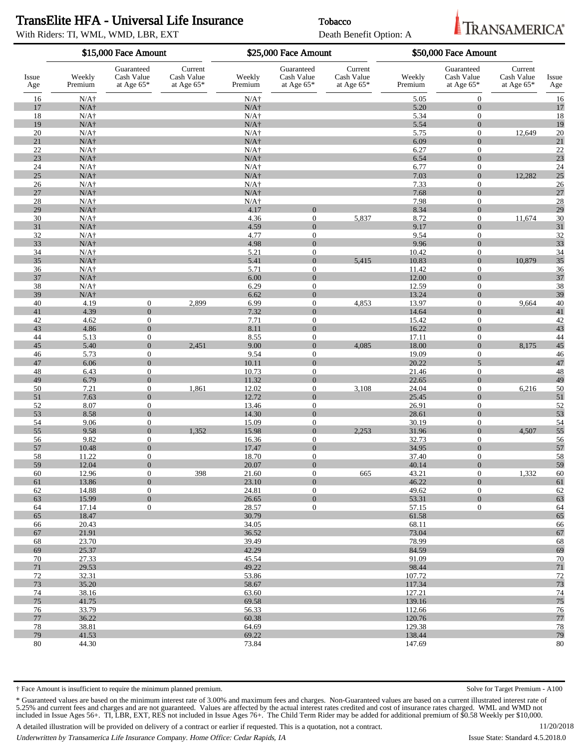## TransElite HFA - Universal Life Insurance Tobacco

With Riders: TI, WML, WMD, LBR, EXT Death Benefit Option: A



**RANSAMERICA**®

|              | \$15,000 Face Amount         |                                          |                                       | \$25,000 Face Amount         |                                          |                                     | \$50,000 Face Amount |                                        |                                       |              |
|--------------|------------------------------|------------------------------------------|---------------------------------------|------------------------------|------------------------------------------|-------------------------------------|----------------------|----------------------------------------|---------------------------------------|--------------|
| Issue<br>Age | Weekly<br>Premium            | Guaranteed<br>Cash Value<br>at Age $65*$ | Current<br>Cash Value<br>at Age $65*$ | Weekly<br>Premium            | Guaranteed<br>Cash Value<br>at Age $65*$ | Current<br>Cash Value<br>at Age 65* | Weekly<br>Premium    | Guaranteed<br>Cash Value<br>at Age 65* | Current<br>Cash Value<br>at Age $65*$ | Issue<br>Age |
| 16           | $N/A\dagger$                 |                                          |                                       | $N/A+$                       |                                          |                                     | 5.05                 | $\mathbf{0}$                           |                                       | 16           |
| 17           | $N/A\dagger$                 |                                          |                                       | $N/A\dagger$                 |                                          |                                     | 5.20                 | $\Omega$                               |                                       | 17           |
| 18           | $N/A\dagger$                 |                                          |                                       | $N/A\dagger$                 |                                          |                                     | 5.34                 | $\boldsymbol{0}$                       |                                       | 18           |
| 19           | $N/A\dagger$                 |                                          |                                       | $N/A\dagger$                 |                                          |                                     | 5.54                 | $\Omega$                               |                                       | 19           |
| 20           | $N/A\dagger$                 |                                          |                                       | $N/A\dagger$                 |                                          |                                     | 5.75                 | $\boldsymbol{0}$                       | 12,649                                | 20           |
| 21<br>22     | $N/A\dagger$<br>$N/A\dagger$ |                                          |                                       | $N/A\dagger$<br>$N/A\dagger$ |                                          |                                     | 6.09                 | $\Omega$                               |                                       | 21<br>22     |
| 23           | $N/A\dagger$                 |                                          |                                       | $N/A\dagger$                 |                                          |                                     | 6.27<br>6.54         | $\boldsymbol{0}$<br>$\Omega$           |                                       | 23           |
| 24           | $N/A\dagger$                 |                                          |                                       | $N/A\dagger$                 |                                          |                                     | 6.77                 | $\mathbf{0}$                           |                                       | 24           |
| 25           | $N/A\dagger$                 |                                          |                                       | $N/A\dagger$                 |                                          |                                     | 7.03                 | $\Omega$                               | 12,282                                | 25           |
| 26           | $N/A\dagger$                 |                                          |                                       | $N/A\dagger$                 |                                          |                                     | 7.33                 | $\mathbf{0}$                           |                                       | 26           |
| 27           | $N/A\dagger$                 |                                          |                                       | $N/A\dagger$                 |                                          |                                     | 7.68                 | $\Omega$                               |                                       | 27           |
| 28           | $N/A\dagger$                 |                                          |                                       | $N/A\dagger$                 |                                          |                                     | 7.98                 | $\mathbf{0}$                           |                                       | 28           |
| 29           | $N/A\dagger$                 |                                          |                                       | 4.17                         | $\Omega$                                 |                                     | 8.34                 | $\overline{0}$                         |                                       | 29           |
| 30<br>31     | $N/A\dagger$<br>$N/A\dagger$ |                                          |                                       | 4.36<br>4.59                 | $\boldsymbol{0}$<br>$\overline{0}$       | 5,837                               | 8.72<br>9.17         | $\mathbf{0}$<br>$\Omega$               | 11,674                                | 30<br>31     |
| 32           | $N/A\dagger$                 |                                          |                                       | 4.77                         | $\mathbf{0}$                             |                                     | 9.54                 | $\mathbf{0}$                           |                                       | 32           |
| 33           | $N/A\dagger$                 |                                          |                                       | 4.98                         | $\overline{0}$                           |                                     | 9.96                 | $\Omega$                               |                                       | 33           |
| 34           | $N/A\dagger$                 |                                          |                                       | 5.21                         | $\theta$                                 |                                     | 10.42                | $\boldsymbol{0}$                       |                                       | 34           |
| 35           | $N/A\dagger$                 |                                          |                                       | 5.41                         | $\overline{0}$                           | 5,415                               | 10.83                | $\Omega$                               | 10,879                                | 35           |
| 36           | $N/A\dagger$                 |                                          |                                       | 5.71                         | $\theta$                                 |                                     | 11.42                | $\boldsymbol{0}$                       |                                       | 36           |
| 37           | $N/A\dagger$                 |                                          |                                       | 6.00                         | $\overline{0}$                           |                                     | 12.00                | $\Omega$                               |                                       | 37           |
| 38<br>39     | $N/A\dagger$<br>$N/A\dagger$ |                                          |                                       | 6.29<br>6.62                 | $\theta$<br>$\Omega$                     |                                     | 12.59<br>13.24       | $\mathbf{0}$<br>$\Omega$               |                                       | 38<br>39     |
| 40           | 4.19                         | $\overline{0}$                           | 2,899                                 | 6.99                         | $\boldsymbol{0}$                         | 4,853                               | 13.97                | $\boldsymbol{0}$                       | 9,664                                 | 40           |
| 41           | 4.39                         | $\overline{0}$                           |                                       | 7.32                         | $\overline{0}$                           |                                     | 14.64                | $\Omega$                               |                                       | 41           |
| 42           | 4.62                         | $\mathbf{0}$                             |                                       | 7.71                         | $\boldsymbol{0}$                         |                                     | 15.42                | $\mathbf{0}$                           |                                       | 42           |
| 43           | 4.86                         | $\overline{0}$                           |                                       | 8.11                         | $\Omega$                                 |                                     | 16.22                | $\Omega$                               |                                       | 43           |
| 44           | 5.13                         | $\mathbf{0}$                             |                                       | 8.55                         | $\boldsymbol{0}$                         |                                     | 17.11                | $\mathbf{0}$                           |                                       | 44           |
| 45           | 5.40                         | $\mathbf{0}$                             | 2,451                                 | 9.00                         | $\overline{0}$                           | 4,085                               | 18.00                | $\Omega$                               | 8,175                                 | 45           |
| 46<br>47     | 5.73<br>6.06                 | $\overline{0}$<br>$\overline{0}$         |                                       | 9.54<br>10.11                | $\theta$<br>$\overline{0}$               |                                     | 19.09<br>20.22       | $\mathbf{0}$<br>$\overline{5}$         |                                       | 46<br>47     |
| 48           | 6.43                         | $\mathbf{0}$                             |                                       | 10.73                        | $\theta$                                 |                                     | 21.46                | $\mathbf{0}$                           |                                       | 48           |
| 49           | 6.79                         | $\overline{0}$                           |                                       | 11.32                        | $\overline{0}$                           |                                     | 22.65                | $\Omega$                               |                                       | 49           |
| 50           | 7.21                         | $\overline{0}$                           | 1,861                                 | 12.02                        | $\boldsymbol{0}$                         | 3,108                               | 24.04                | $\boldsymbol{0}$                       | 6,216                                 | 50           |
| 51           | 7.63                         | $\overline{0}$                           |                                       | 12.72                        | $\overline{0}$                           |                                     | 25.45                | $\Omega$                               |                                       | 51           |
| 52           | 8.07                         | $\mathbf{0}$                             |                                       | 13.46                        | $\theta$                                 |                                     | 26.91                | $\mathbf{0}$                           |                                       | 52           |
| 53           | 8.58                         | $\overline{0}$                           |                                       | 14.30                        | $\Omega$                                 |                                     | 28.61                | $\Omega$                               |                                       | 53           |
| 54<br>55     | 9.06<br>9.58                 | $\mathbf{0}$<br>$\overline{0}$           | 1,352                                 | 15.09<br>15.98               | $\theta$<br>$\overline{0}$               | 2,253                               | 30.19<br>31.96       | $\boldsymbol{0}$<br>$\Omega$           | 4,507                                 | 54<br>55     |
| 56           | 9.82                         | $\mathbf{0}$                             |                                       | 16.36                        | $\theta$                                 |                                     | 32.73                | $\mathbf{0}$                           |                                       | 56           |
| 57           | 10.48                        | $\overline{0}$                           |                                       | 17.47                        | $\overline{0}$                           |                                     | 34.95                | $\Omega$                               |                                       | 57           |
| 58           | 11.22                        | $\boldsymbol{0}$                         |                                       | 18.70                        | $\theta$                                 |                                     | 37.40                | $\boldsymbol{0}$                       |                                       | 58           |
| 59           | 12.04                        | $\theta$                                 |                                       | 20.07                        | $\Omega$                                 |                                     | 40.14                | $\Omega$                               |                                       | 59           |
| 60           | 12.96                        | $\boldsymbol{0}$                         | 398                                   | 21.60                        | $\boldsymbol{0}$                         | 665                                 | 43.21                | $\overline{0}$                         | 1,332                                 | 60           |
| 61           | 13.86                        | $\mathbf{0}$                             |                                       | 23.10                        | $\overline{0}$                           |                                     | 46.22                | $\mathbf{0}$                           |                                       | 61           |
| 62<br>63     | 14.88<br>15.99               | $\mathbf{0}$<br>$\overline{0}$           |                                       | 24.81<br>26.65               | $\overline{0}$<br>$\overline{0}$         |                                     | 49.62<br>53.31       | $\overline{0}$<br>$\overline{0}$       |                                       | 62<br>63     |
| 64           | 17.14                        | $\overline{0}$                           |                                       | 28.57                        | $\overline{0}$                           |                                     | 57.15                | $\overline{0}$                         |                                       | 64           |
| 65           | 18.47                        |                                          |                                       | 30.79                        |                                          |                                     | 61.58                |                                        |                                       | 65           |
| 66           | 20.43                        |                                          |                                       | 34.05                        |                                          |                                     | 68.11                |                                        |                                       | 66           |
| 67           | 21.91                        |                                          |                                       | 36.52                        |                                          |                                     | 73.04                |                                        |                                       | 67           |
| 68           | 23.70                        |                                          |                                       | 39.49                        |                                          |                                     | 78.99                |                                        |                                       | 68           |
| 69           | 25.37                        |                                          |                                       | 42.29                        |                                          |                                     | 84.59                |                                        |                                       | 69           |
| 70<br>71     | 27.33<br>29.53               |                                          |                                       | 45.54<br>49.22               |                                          |                                     | 91.09<br>98.44       |                                        |                                       | 70<br>71     |
| 72           | 32.31                        |                                          |                                       | 53.86                        |                                          |                                     | 107.72               |                                        |                                       | 72           |
| 73           | 35.20                        |                                          |                                       | 58.67                        |                                          |                                     | 117.34               |                                        |                                       | 73           |
| 74           | 38.16                        |                                          |                                       | 63.60                        |                                          |                                     | 127.21               |                                        |                                       | 74           |
| 75           | 41.75                        |                                          |                                       | 69.58                        |                                          |                                     | 139.16               |                                        |                                       | 75           |
| 76           | 33.79                        |                                          |                                       | 56.33                        |                                          |                                     | 112.66               |                                        |                                       | 76           |
| 77           | 36.22                        |                                          |                                       | 60.38                        |                                          |                                     | 120.76               |                                        |                                       | 77           |
| 78<br>79     | 38.81<br>41.53               |                                          |                                       | 64.69<br>69.22               |                                          |                                     | 129.38<br>138.44     |                                        |                                       | 78<br>79     |
| 80           | 44.30                        |                                          |                                       | 73.84                        |                                          |                                     | 147.69               |                                        |                                       | 80           |
|              |                              |                                          |                                       |                              |                                          |                                     |                      |                                        |                                       |              |

† Face Amount is insufficient to require the minimum planned premium. Solve for Target Premium - A100

\* Guaranteed values are based on the minimum interest rate of 3.00% and maximum fees and charges. Non-Guaranteed values are based on a current illustrated interest rate of 5.25% and current fees and charges and are not guaranteed. Values are affected by the actual interest rates credited and cost of insurance rates charged. WML and WMD not included in Issue Ages 56+. TI, LBR, EXT, RES not included in Issue Ages 76+. The Child Term Rider may be added for additional premium of \$0.58 Weekly per \$10,000.

A detailed illustration will be provided on delivery of a contract or earlier if requested. This is a quotation, not a contract.

Underwritten by Transamerica Life Insurance Company. Home Office: Cedar Rapids, IA